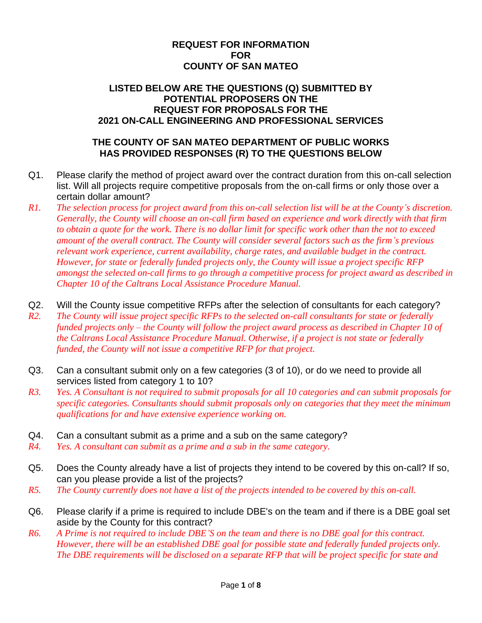## **REQUEST FOR INFORMATION FOR COUNTY OF SAN MATEO**

## **LISTED BELOW ARE THE QUESTIONS (Q) SUBMITTED BY POTENTIAL PROPOSERS ON THE REQUEST FOR PROPOSALS FOR THE 2021 ON-CALL ENGINEERING AND PROFESSIONAL SERVICES**

## **THE COUNTY OF SAN MATEO DEPARTMENT OF PUBLIC WORKS HAS PROVIDED RESPONSES (R) TO THE QUESTIONS BELOW**

- Q1. Please clarify the method of project award over the contract duration from this on-call selection list. Will all projects require competitive proposals from the on-call firms or only those over a certain dollar amount?
- *R1. The selection process for project award from this on-call selection list will be at the County's discretion. Generally, the County will choose an on-call firm based on experience and work directly with that firm to obtain a quote for the work. There is no dollar limit for specific work other than the not to exceed amount of the overall contract. The County will consider several factors such as the firm's previous relevant work experience, current availability, charge rates, and available budget in the contract. However, for state or federally funded projects only, the County will issue a project specific RFP amongst the selected on-call firms to go through a competitive process for project award as described in Chapter 10 of the Caltrans Local Assistance Procedure Manual.*
- Q2. Will the County issue competitive RFPs after the selection of consultants for each category?
- *R2. The County will issue project specific RFPs to the selected on-call consultants for state or federally funded projects only – the County will follow the project award process as described in Chapter 10 of the Caltrans Local Assistance Procedure Manual. Otherwise, if a project is not state or federally funded, the County will not issue a competitive RFP for that project.*
- Q3. Can a consultant submit only on a few categories (3 of 10), or do we need to provide all services listed from category 1 to 10?
- *R3. Yes. A Consultant is not required to submit proposals for all 10 categories and can submit proposals for specific categories. Consultants should submit proposals only on categories that they meet the minimum qualifications for and have extensive experience working on.*
- Q4. Can a consultant submit as a prime and a sub on the same category?
- *R4. Yes. A consultant can submit as a prime and a sub in the same category.*
- Q5. Does the County already have a list of projects they intend to be covered by this on-call? If so, can you please provide a list of the projects?
- *R5. The County currently does not have a list of the projects intended to be covered by this on-call.*
- Q6. Please clarify if a prime is required to include DBE's on the team and if there is a DBE goal set aside by the County for this contract?
- *R6. A Prime is not required to include DBE'S on the team and there is no DBE goal for this contract. However, there will be an established DBE goal for possible state and federally funded projects only. The DBE requirements will be disclosed on a separate RFP that will be project specific for state and*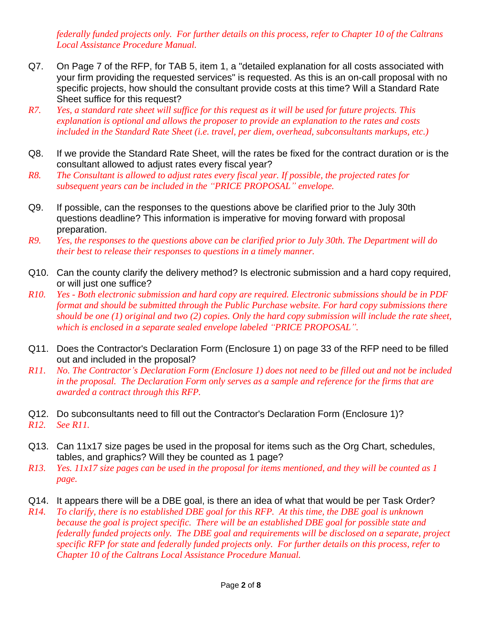*federally funded projects only. For further details on this process, refer to Chapter 10 of the Caltrans Local Assistance Procedure Manual.*

- Q7. On Page 7 of the RFP, for TAB 5, item 1, a "detailed explanation for all costs associated with your firm providing the requested services" is requested. As this is an on-call proposal with no specific projects, how should the consultant provide costs at this time? Will a Standard Rate Sheet suffice for this request?
- *R7. Yes, a standard rate sheet will suffice for this request as it will be used for future projects. This explanation is optional and allows the proposer to provide an explanation to the rates and costs included in the Standard Rate Sheet (i.e. travel, per diem, overhead, subconsultants markups, etc.)*
- Q8. If we provide the Standard Rate Sheet, will the rates be fixed for the contract duration or is the consultant allowed to adjust rates every fiscal year?
- *R8. The Consultant is allowed to adjust rates every fiscal year. If possible, the projected rates for subsequent years can be included in the "PRICE PROPOSAL" envelope.*
- Q9. If possible, can the responses to the questions above be clarified prior to the July 30th questions deadline? This information is imperative for moving forward with proposal preparation.
- *R9. Yes, the responses to the questions above can be clarified prior to July 30th. The Department will do their best to release their responses to questions in a timely manner.*
- Q10. Can the county clarify the delivery method? Is electronic submission and a hard copy required, or will just one suffice?
- *R10. Yes - Both electronic submission and hard copy are required. Electronic submissions should be in PDF format and should be submitted through the Public Purchase website. For hard copy submissions there should be one (1) original and two (2) copies. Only the hard copy submission will include the rate sheet, which is enclosed in a separate sealed envelope labeled "PRICE PROPOSAL".*
- Q11. Does the Contractor's Declaration Form (Enclosure 1) on page 33 of the RFP need to be filled out and included in the proposal?
- *R11. No. The Contractor's Declaration Form (Enclosure 1) does not need to be filled out and not be included in the proposal. The Declaration Form only serves as a sample and reference for the firms that are awarded a contract through this RFP.*
- Q12. Do subconsultants need to fill out the Contractor's Declaration Form (Enclosure 1)?
- *R12. See R11.*
- Q13. Can 11x17 size pages be used in the proposal for items such as the Org Chart, schedules, tables, and graphics? Will they be counted as 1 page?
- *R13. Yes. 11x17 size pages can be used in the proposal for items mentioned, and they will be counted as 1 page.*
- Q14. It appears there will be a DBE goal, is there an idea of what that would be per Task Order?
- *R14. To clarify, there is no established DBE goal for this RFP. At this time, the DBE goal is unknown because the goal is project specific. There will be an established DBE goal for possible state and federally funded projects only. The DBE goal and requirements will be disclosed on a separate, project specific RFP for state and federally funded projects only. For further details on this process, refer to Chapter 10 of the Caltrans Local Assistance Procedure Manual.*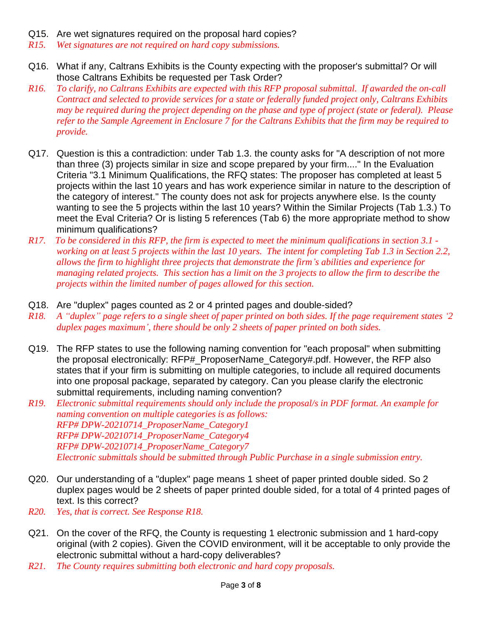- Q15. Are wet signatures required on the proposal hard copies?
- *R15. Wet signatures are not required on hard copy submissions.*
- Q16. What if any, Caltrans Exhibits is the County expecting with the proposer's submittal? Or will those Caltrans Exhibits be requested per Task Order?
- *R16. To clarify, no Caltrans Exhibits are expected with this RFP proposal submittal. If awarded the on-call Contract and selected to provide services for a state or federally funded project only, Caltrans Exhibits may be required during the project depending on the phase and type of project (state or federal). Please refer to the Sample Agreement in Enclosure 7 for the Caltrans Exhibits that the firm may be required to provide.*
- Q17. Question is this a contradiction: under Tab 1.3. the county asks for "A description of not more than three (3) projects similar in size and scope prepared by your firm...." In the Evaluation Criteria "3.1 Minimum Qualifications, the RFQ states: The proposer has completed at least 5 projects within the last 10 years and has work experience similar in nature to the description of the category of interest." The county does not ask for projects anywhere else. Is the county wanting to see the 5 projects within the last 10 years? Within the Similar Projects (Tab 1.3.) To meet the Eval Criteria? Or is listing 5 references (Tab 6) the more appropriate method to show minimum qualifications?
- *R17. To be considered in this RFP, the firm is expected to meet the minimum qualifications in section 3.1 working on at least 5 projects within the last 10 years. The intent for completing Tab 1.3 in Section 2.2, allows the firm to highlight three projects that demonstrate the firm's abilities and experience for managing related projects. This section has a limit on the 3 projects to allow the firm to describe the projects within the limited number of pages allowed for this section.*
- Q18. Are "duplex" pages counted as 2 or 4 printed pages and double-sided?
- *R18. A "duplex" page refers to a single sheet of paper printed on both sides. If the page requirement states '2 duplex pages maximum', there should be only 2 sheets of paper printed on both sides.*
- Q19. The RFP states to use the following naming convention for "each proposal" when submitting the proposal electronically: RFP#\_ProposerName\_Category#.pdf. However, the RFP also states that if your firm is submitting on multiple categories, to include all required documents into one proposal package, separated by category. Can you please clarify the electronic submittal requirements, including naming convention?
- *R19. Electronic submittal requirements should only include the proposal/s in PDF format. An example for naming convention on multiple categories is as follows: RFP# DPW-20210714\_ProposerName\_Category1 RFP# DPW-20210714\_ProposerName\_Category4 RFP# DPW-20210714\_ProposerName\_Category7 Electronic submittals should be submitted through Public Purchase in a single submission entry.*
- Q20. Our understanding of a "duplex" page means 1 sheet of paper printed double sided. So 2 duplex pages would be 2 sheets of paper printed double sided, for a total of 4 printed pages of text. Is this correct?
- *R20. Yes, that is correct. See Response R18.*
- Q21. On the cover of the RFQ, the County is requesting 1 electronic submission and 1 hard-copy original (with 2 copies). Given the COVID environment, will it be acceptable to only provide the electronic submittal without a hard-copy deliverables?
- *R21. The County requires submitting both electronic and hard copy proposals.*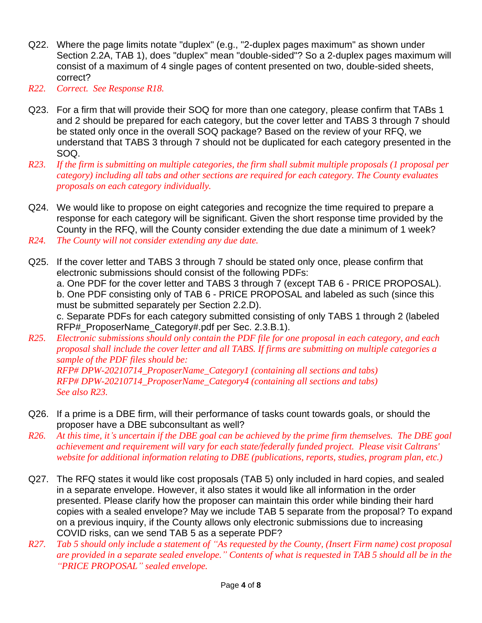- Q22. Where the page limits notate "duplex" (e.g., "2-duplex pages maximum" as shown under Section 2.2A, TAB 1), does "duplex" mean "double-sided"? So a 2-duplex pages maximum will consist of a maximum of 4 single pages of content presented on two, double-sided sheets, correct?
- *R22. Correct. See Response R18.*
- Q23. For a firm that will provide their SOQ for more than one category, please confirm that TABs 1 and 2 should be prepared for each category, but the cover letter and TABS 3 through 7 should be stated only once in the overall SOQ package? Based on the review of your RFQ, we understand that TABS 3 through 7 should not be duplicated for each category presented in the SOQ.
- *R23. If the firm is submitting on multiple categories, the firm shall submit multiple proposals (1 proposal per category) including all tabs and other sections are required for each category. The County evaluates proposals on each category individually.*
- Q24. We would like to propose on eight categories and recognize the time required to prepare a response for each category will be significant. Given the short response time provided by the County in the RFQ, will the County consider extending the due date a minimum of 1 week?
- *R24. The County will not consider extending any due date.*
- Q25. If the cover letter and TABS 3 through 7 should be stated only once, please confirm that electronic submissions should consist of the following PDFs: a. One PDF for the cover letter and TABS 3 through 7 (except TAB 6 - PRICE PROPOSAL). b. One PDF consisting only of TAB 6 - PRICE PROPOSAL and labeled as such (since this must be submitted separately per Section 2.2.D). c. Separate PDFs for each category submitted consisting of only TABS 1 through 2 (labeled
- RFP#\_ProposerName\_Category#.pdf per Sec. 2.3.B.1). *R25. Electronic submissions should only contain the PDF file for one proposal in each category, and each proposal shall include the cover letter and all TABS. If firms are submitting on multiple categories a sample of the PDF files should be: RFP# DPW-20210714\_ProposerName\_Category1 (containing all sections and tabs) RFP# DPW-20210714\_ProposerName\_Category4 (containing all sections and tabs) See also R23.*
- Q26. If a prime is a DBE firm, will their performance of tasks count towards goals, or should the proposer have a DBE subconsultant as well?
- *R26. At this time, it's uncertain if the DBE goal can be achieved by the prime firm themselves. The DBE goal achievement and requirement will vary for each state/federally funded project. Please visit Caltrans' website for additional information relating to DBE (publications, reports, studies, program plan, etc.)*
- Q27. The RFQ states it would like cost proposals (TAB 5) only included in hard copies, and sealed in a separate envelope. However, it also states it would like all information in the order presented. Please clarify how the proposer can maintain this order while binding their hard copies with a sealed envelope? May we include TAB 5 separate from the proposal? To expand on a previous inquiry, if the County allows only electronic submissions due to increasing COVID risks, can we send TAB 5 as a seperate PDF?
- *R27. Tab 5 should only include a statement of "As requested by the County, (Insert Firm name) cost proposal are provided in a separate sealed envelope." Contents of what is requested in TAB 5 should all be in the "PRICE PROPOSAL" sealed envelope.*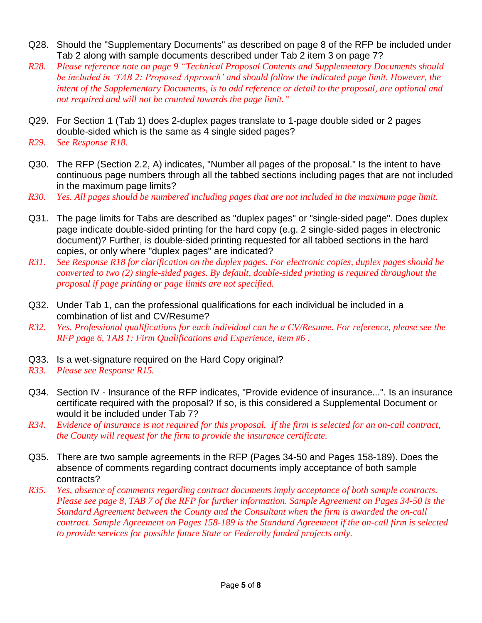- Q28. Should the "Supplementary Documents" as described on page 8 of the RFP be included under Tab 2 along with sample documents described under Tab 2 item 3 on page 7?
- *R28. Please reference note on page 9 "Technical Proposal Contents and Supplementary Documents should be included in 'TAB 2: Proposed Approach' and should follow the indicated page limit. However, the intent of the Supplementary Documents, is to add reference or detail to the proposal, are optional and not required and will not be counted towards the page limit."*
- Q29. For Section 1 (Tab 1) does 2-duplex pages translate to 1-page double sided or 2 pages double-sided which is the same as 4 single sided pages?
- *R29. See Response R18.*
- Q30. The RFP (Section 2.2, A) indicates, "Number all pages of the proposal." Is the intent to have continuous page numbers through all the tabbed sections including pages that are not included in the maximum page limits?
- *R30. Yes. All pages should be numbered including pages that are not included in the maximum page limit.*
- Q31. The page limits for Tabs are described as "duplex pages" or "single-sided page". Does duplex page indicate double-sided printing for the hard copy (e.g. 2 single-sided pages in electronic document)? Further, is double-sided printing requested for all tabbed sections in the hard copies, or only where "duplex pages" are indicated?
- *R31. See Response R18 for clarification on the duplex pages. For electronic copies, duplex pages should be converted to two (2) single-sided pages. By default, double-sided printing is required throughout the proposal if page printing or page limits are not specified.*
- Q32. Under Tab 1, can the professional qualifications for each individual be included in a combination of list and CV/Resume?
- *R32. Yes. Professional qualifications for each individual can be a CV/Resume. For reference, please see the RFP page 6, TAB 1: Firm Qualifications and Experience, item #6 .*
- Q33. Is a wet-signature required on the Hard Copy original?
- *R33. Please see Response R15.*
- Q34. Section IV Insurance of the RFP indicates, "Provide evidence of insurance...". Is an insurance certificate required with the proposal? If so, is this considered a Supplemental Document or would it be included under Tab 7?
- *R34. Evidence of insurance is not required for this proposal. If the firm is selected for an on-call contract, the County will request for the firm to provide the insurance certificate.*
- Q35. There are two sample agreements in the RFP (Pages 34-50 and Pages 158-189). Does the absence of comments regarding contract documents imply acceptance of both sample contracts?
- *R35. Yes, absence of comments regarding contract documents imply acceptance of both sample contracts. Please see page 8, TAB 7 of the RFP for further information. Sample Agreement on Pages 34-50 is the Standard Agreement between the County and the Consultant when the firm is awarded the on-call contract. Sample Agreement on Pages 158-189 is the Standard Agreement if the on-call firm is selected to provide services for possible future State or Federally funded projects only.*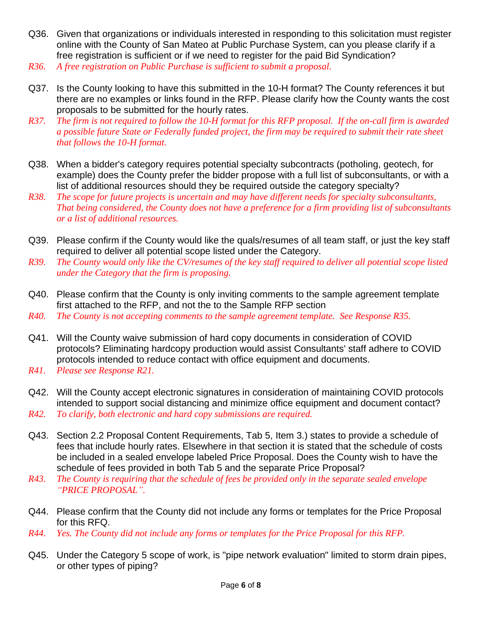- Q36. Given that organizations or individuals interested in responding to this solicitation must register online with the County of San Mateo at Public Purchase System, can you please clarify if a free registration is sufficient or if we need to register for the paid Bid Syndication? *R36. A free registration on Public Purchase is sufficient to submit a proposal.*
- 
- Q37. Is the County looking to have this submitted in the 10-H format? The County references it but there are no examples or links found in the RFP. Please clarify how the County wants the cost proposals to be submitted for the hourly rates.
- *R37. The firm is not required to follow the 10-H format for this RFP proposal. If the on-call firm is awarded a possible future State or Federally funded project, the firm may be required to submit their rate sheet that follows the 10-H format.*
- Q38. When a bidder's category requires potential specialty subcontracts (potholing, geotech, for example) does the County prefer the bidder propose with a full list of subconsultants, or with a list of additional resources should they be required outside the category specialty?
- *R38. The scope for future projects is uncertain and may have different needs for specialty subconsultants, That being considered, the County does not have a preference for a firm providing list of subconsultants or a list of additional resources.*
- Q39. Please confirm if the County would like the quals/resumes of all team staff, or just the key staff required to deliver all potential scope listed under the Category.
- *R39. The County would only like the CV/resumes of the key staff required to deliver all potential scope listed under the Category that the firm is proposing.*
- Q40. Please confirm that the County is only inviting comments to the sample agreement template first attached to the RFP, and not the to the Sample RFP section
- *R40. The County is not accepting comments to the sample agreement template. See Response R35.*
- Q41. Will the County waive submission of hard copy documents in consideration of COVID protocols? Eliminating hardcopy production would assist Consultants' staff adhere to COVID protocols intended to reduce contact with office equipment and documents.
- *R41. Please see Response R21.*
- Q42. Will the County accept electronic signatures in consideration of maintaining COVID protocols intended to support social distancing and minimize office equipment and document contact? *R42. To clarify, both electronic and hard copy submissions are required.*
- Q43. Section 2.2 Proposal Content Requirements, Tab 5, Item 3.) states to provide a schedule of fees that include hourly rates. Elsewhere in that section it is stated that the schedule of costs be included in a sealed envelope labeled Price Proposal. Does the County wish to have the schedule of fees provided in both Tab 5 and the separate Price Proposal?
- *R43. The County is requiring that the schedule of fees be provided only in the separate sealed envelope "PRICE PROPOSAL".*
- Q44. Please confirm that the County did not include any forms or templates for the Price Proposal for this RFQ.
- *R44. Yes. The County did not include any forms or templates for the Price Proposal for this RFP.*
- Q45. Under the Category 5 scope of work, is "pipe network evaluation" limited to storm drain pipes, or other types of piping?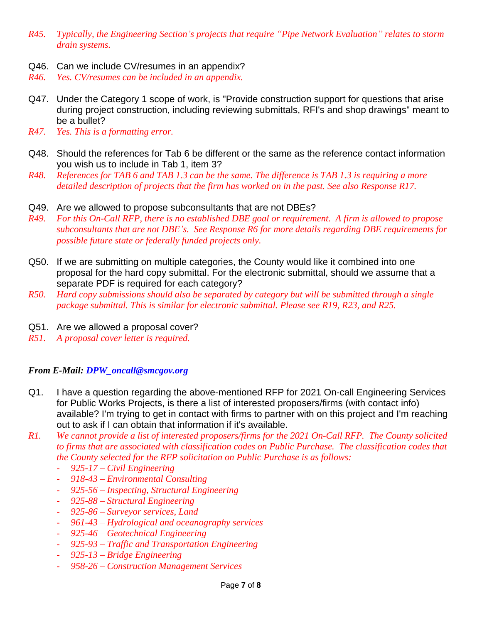- *R45. Typically, the Engineering Section's projects that require "Pipe Network Evaluation" relates to storm drain systems.*
- Q46. Can we include CV/resumes in an appendix?
- *R46. Yes. CV/resumes can be included in an appendix.*
- Q47. Under the Category 1 scope of work, is "Provide construction support for questions that arise during project construction, including reviewing submittals, RFI's and shop drawings" meant to be a bullet?
- *R47. Yes. This is a formatting error.*
- Q48. Should the references for Tab 6 be different or the same as the reference contact information you wish us to include in Tab 1, item 3?
- *R48. References for TAB 6 and TAB 1.3 can be the same. The difference is TAB 1.3 is requiring a more detailed description of projects that the firm has worked on in the past. See also Response R17.*
- Q49. Are we allowed to propose subconsultants that are not DBEs?
- *R49. For this On-Call RFP, there is no established DBE goal or requirement. A firm is allowed to propose subconsultants that are not DBE's. See Response R6 for more details regarding DBE requirements for possible future state or federally funded projects only.*
- Q50. If we are submitting on multiple categories, the County would like it combined into one proposal for the hard copy submittal. For the electronic submittal, should we assume that a separate PDF is required for each category?
- *R50. Hard copy submissions should also be separated by category but will be submitted through a single package submittal. This is similar for electronic submittal. Please see R19, R23, and R25.*
- Q51. Are we allowed a proposal cover?
- *R51. A proposal cover letter is required.*

## *From E-Mail: [DPW\\_oncall@smcgov.org](mailto:DPW_oncall@smcgov.org)*

- Q1. I have a question regarding the above-mentioned RFP for 2021 On-call Engineering Services for Public Works Projects, is there a list of interested proposers/firms (with contact info) available? I'm trying to get in contact with firms to partner with on this project and I'm reaching out to ask if I can obtain that information if it's available.
- *R1. We cannot provide a list of interested proposers/firms for the 2021 On-Call RFP. The County solicited to firms that are associated with classification codes on Public Purchase. The classification codes that the County selected for the RFP solicitation on Public Purchase is as follows:*
	- *925-17 – Civil Engineering*
	- *918-43 – Environmental Consulting*
	- *925-56 – Inspecting, Structural Engineering*
	- *925-88 – Structural Engineering*
	- *925-86 – Surveyor services, Land*
	- *961-43 – Hydrological and oceanography services*
	- *925-46 – Geotechnical Engineering*
	- *925-93 – Traffic and Transportation Engineering*
	- *925-13 – Bridge Engineering*
	- *958-26 – Construction Management Services*